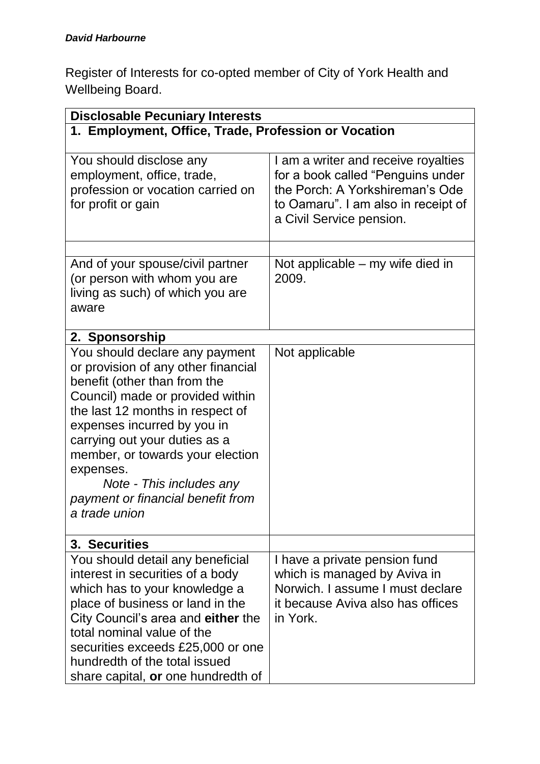Register of Interests for co-opted member of City of York Health and Wellbeing Board.

| <b>Disclosable Pecuniary Interests</b>                                                                                                                                                                                                                                                                                                                                           |                                                                                                                                                                                |  |
|----------------------------------------------------------------------------------------------------------------------------------------------------------------------------------------------------------------------------------------------------------------------------------------------------------------------------------------------------------------------------------|--------------------------------------------------------------------------------------------------------------------------------------------------------------------------------|--|
| 1. Employment, Office, Trade, Profession or Vocation                                                                                                                                                                                                                                                                                                                             |                                                                                                                                                                                |  |
| You should disclose any<br>employment, office, trade,<br>profession or vocation carried on<br>for profit or gain                                                                                                                                                                                                                                                                 | I am a writer and receive royalties<br>for a book called "Penguins under<br>the Porch: A Yorkshireman's Ode<br>to Oamaru". I am also in receipt of<br>a Civil Service pension. |  |
|                                                                                                                                                                                                                                                                                                                                                                                  |                                                                                                                                                                                |  |
| And of your spouse/civil partner<br>(or person with whom you are<br>living as such) of which you are<br>aware                                                                                                                                                                                                                                                                    | Not applicable – my wife died in<br>2009.                                                                                                                                      |  |
| 2. Sponsorship                                                                                                                                                                                                                                                                                                                                                                   |                                                                                                                                                                                |  |
| You should declare any payment<br>or provision of any other financial<br>benefit (other than from the<br>Council) made or provided within<br>the last 12 months in respect of<br>expenses incurred by you in<br>carrying out your duties as a<br>member, or towards your election<br>expenses.<br>Note - This includes any<br>payment or financial benefit from<br>a trade union | Not applicable                                                                                                                                                                 |  |
| 3. Securities                                                                                                                                                                                                                                                                                                                                                                    |                                                                                                                                                                                |  |
| You should detail any beneficial<br>interest in securities of a body<br>which has to your knowledge a<br>place of business or land in the<br>City Council's area and either the<br>total nominal value of the<br>securities exceeds £25,000 or one<br>hundredth of the total issued<br>share capital, or one hundredth of                                                        | I have a private pension fund<br>which is managed by Aviva in<br>Norwich. I assume I must declare<br>it because Aviva also has offices<br>in York.                             |  |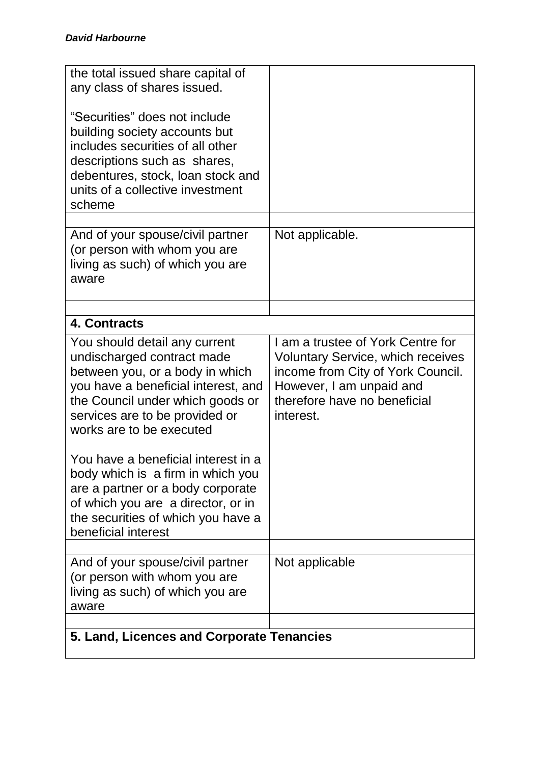| the total issued share capital of                                                                                                                                                                                                       |                                                                                                                                                                                             |  |
|-----------------------------------------------------------------------------------------------------------------------------------------------------------------------------------------------------------------------------------------|---------------------------------------------------------------------------------------------------------------------------------------------------------------------------------------------|--|
| any class of shares issued.                                                                                                                                                                                                             |                                                                                                                                                                                             |  |
| "Securities" does not include<br>building society accounts but<br>includes securities of all other<br>descriptions such as shares,<br>debentures, stock, loan stock and<br>units of a collective investment<br>scheme                   |                                                                                                                                                                                             |  |
|                                                                                                                                                                                                                                         |                                                                                                                                                                                             |  |
| And of your spouse/civil partner<br>(or person with whom you are<br>living as such) of which you are<br>aware                                                                                                                           | Not applicable.                                                                                                                                                                             |  |
|                                                                                                                                                                                                                                         |                                                                                                                                                                                             |  |
| 4. Contracts                                                                                                                                                                                                                            |                                                                                                                                                                                             |  |
| You should detail any current<br>undischarged contract made<br>between you, or a body in which<br>you have a beneficial interest, and<br>the Council under which goods or<br>services are to be provided or<br>works are to be executed | I am a trustee of York Centre for<br><b>Voluntary Service, which receives</b><br>income from City of York Council.<br>However, I am unpaid and<br>therefore have no beneficial<br>interest. |  |
| You have a beneficial interest in a<br>body which is a firm in which you<br>are a partner or a body corporate<br>of which you are a director, or in<br>the securities of which you have a<br>beneficial interest                        |                                                                                                                                                                                             |  |
|                                                                                                                                                                                                                                         |                                                                                                                                                                                             |  |
| And of your spouse/civil partner<br>(or person with whom you are<br>living as such) of which you are<br>aware                                                                                                                           | Not applicable                                                                                                                                                                              |  |
|                                                                                                                                                                                                                                         |                                                                                                                                                                                             |  |
| 5. Land, Licences and Corporate Tenancies                                                                                                                                                                                               |                                                                                                                                                                                             |  |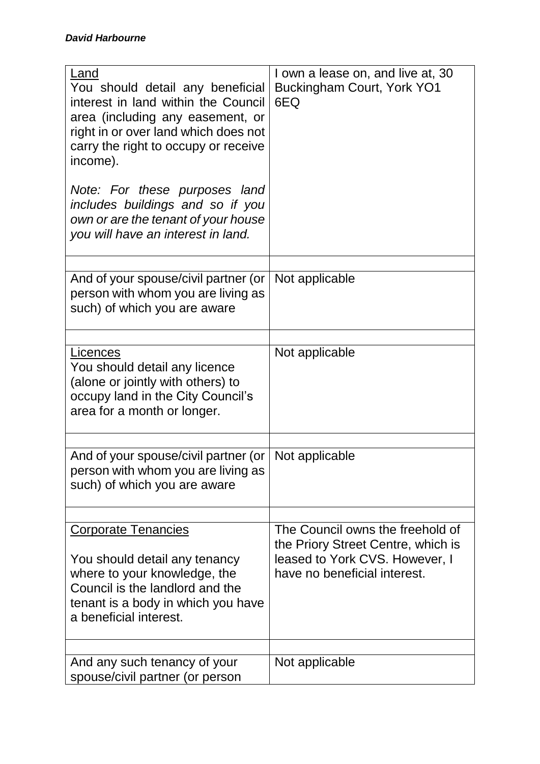| Land<br>You should detail any beneficial<br>interest in land within the Council<br>area (including any easement, or<br>right in or over land which does not<br>carry the right to occupy or receive<br>income). | I own a lease on, and live at, 30<br>Buckingham Court, York YO1<br>6EQ                                                                   |
|-----------------------------------------------------------------------------------------------------------------------------------------------------------------------------------------------------------------|------------------------------------------------------------------------------------------------------------------------------------------|
| Note: For these purposes land<br>includes buildings and so if you<br>own or are the tenant of your house<br>you will have an interest in land.                                                                  |                                                                                                                                          |
| And of your spouse/civil partner (or<br>person with whom you are living as<br>such) of which you are aware                                                                                                      | Not applicable                                                                                                                           |
| Licences<br>You should detail any licence<br>(alone or jointly with others) to<br>occupy land in the City Council's<br>area for a month or longer.                                                              | Not applicable                                                                                                                           |
| And of your spouse/civil partner (or<br>person with whom you are living as<br>such) of which you are aware                                                                                                      | Not applicable                                                                                                                           |
| <b>Corporate Tenancies</b><br>You should detail any tenancy<br>where to your knowledge, the<br>Council is the landlord and the<br>tenant is a body in which you have<br>a beneficial interest.                  | The Council owns the freehold of<br>the Priory Street Centre, which is<br>leased to York CVS. However, I<br>have no beneficial interest. |
| And any such tenancy of your<br>spouse/civil partner (or person                                                                                                                                                 | Not applicable                                                                                                                           |